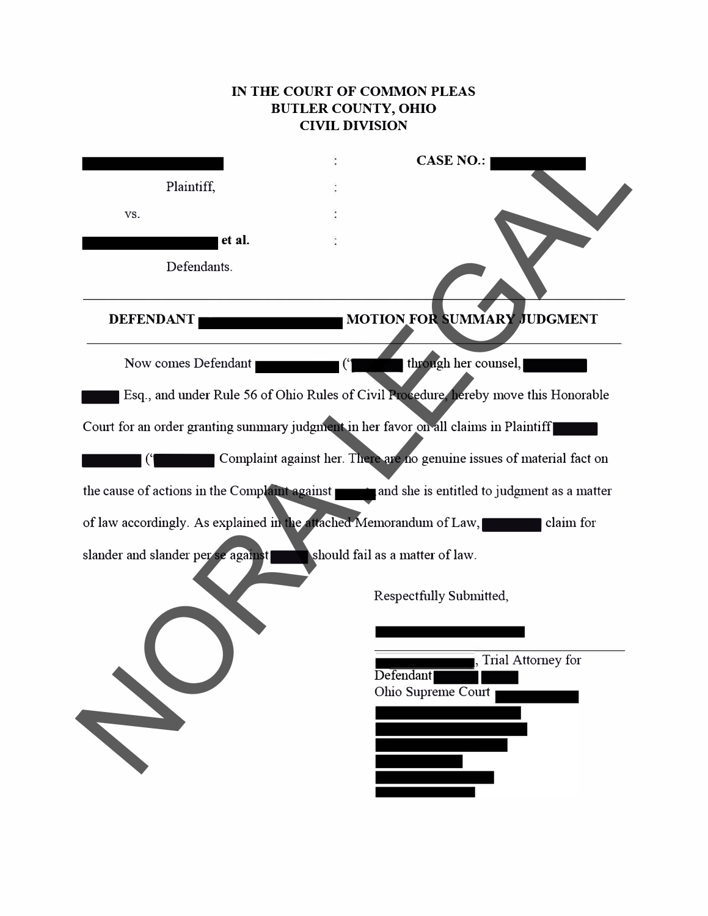# **IN THE COURT OF COMMON PLEAS BUTLER COUNTY, omo CIVIL DIVISION**

|                                                                                      | <b>CASE NO.:</b>                                                                          |
|--------------------------------------------------------------------------------------|-------------------------------------------------------------------------------------------|
| Plaintiff,                                                                           |                                                                                           |
| VS.                                                                                  |                                                                                           |
| et al.                                                                               |                                                                                           |
| Defendants.                                                                          |                                                                                           |
| <b>DEFENDANT</b>                                                                     | MOTION FOR SUMMARY JUDGMENT                                                               |
| Now comes Defendant                                                                  | through her counsel,                                                                      |
|                                                                                      | Esq., and under Rule 56 of Ohio Rules of Civil Procedure, hereby move this Honorable      |
| Court for an order granting summary judgment in her favor on all claims in Plaintiff |                                                                                           |
|                                                                                      | Complaint against her. There are no genuine issues of material fact on                    |
|                                                                                      | the cause of actions in the Complaint against and she is entitled to judgment as a matter |
| of law accordingly. As explained in the attached Memorandum of Law,                  | claim for                                                                                 |
| slander and slander per se against                                                   | should fail as a matter of law.                                                           |
|                                                                                      | <b>Respectfully Submitted,</b>                                                            |
|                                                                                      |                                                                                           |
|                                                                                      | , Trial Attorney for<br>Defendant<br>Ohio Supreme Court                                   |
|                                                                                      |                                                                                           |
|                                                                                      |                                                                                           |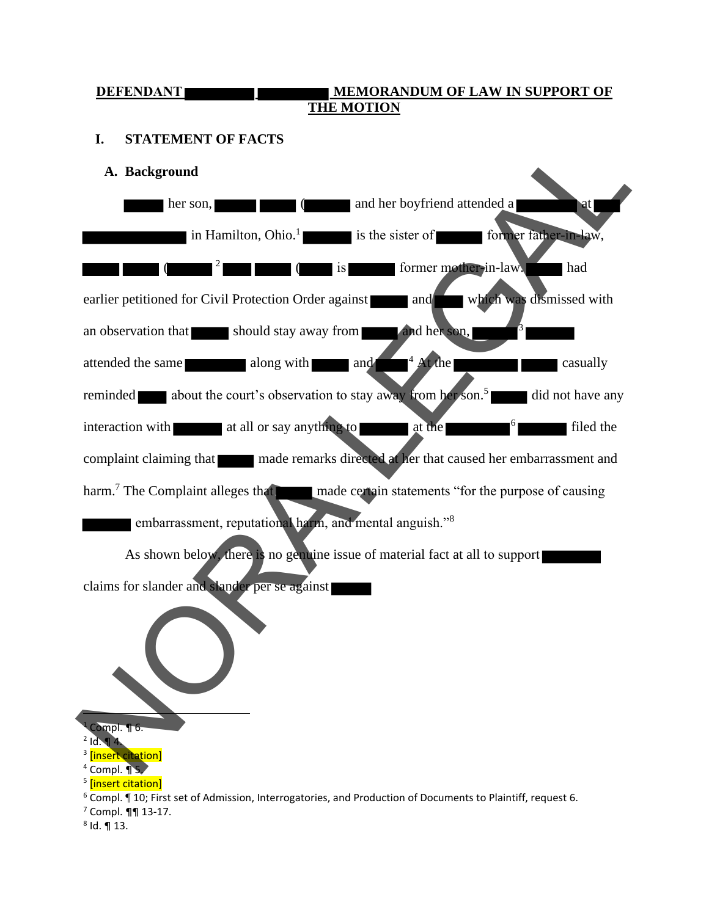#### **DEFENDANT MEMORANDUM OF LAW IN SUPPORT OF THE MOTION**

# **I. STATEMENT OF FACTS**

**A. Background**

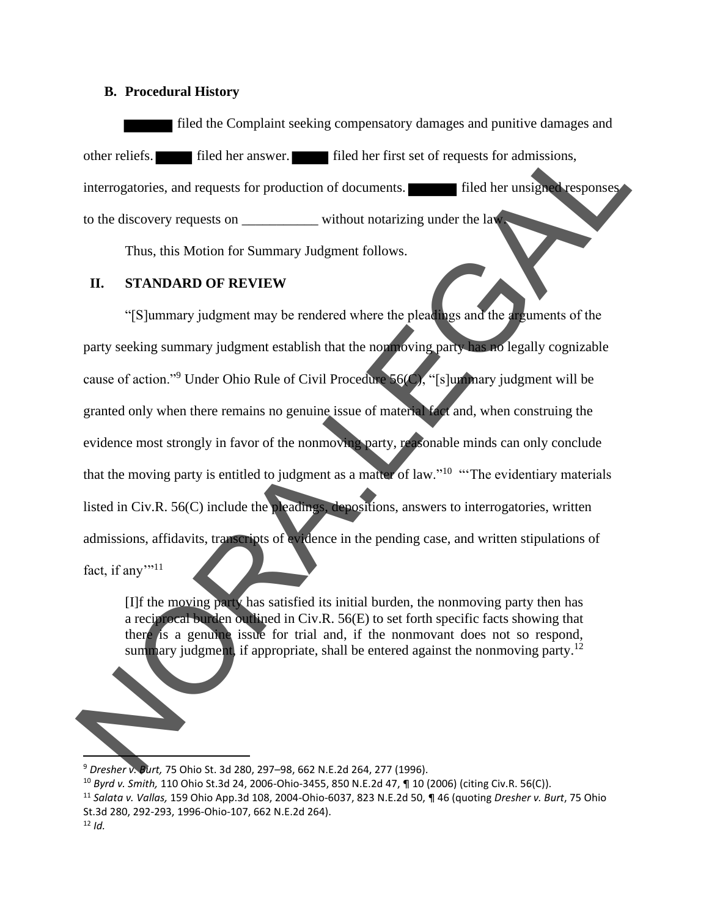#### **B. Procedural History**

filed the Complaint seeking compensatory damages and punitive damages and other reliefs. filed her answer. filed her first set of requests for admissions, interrogatories, and requests for production of documents. **Filed her unsigned responses** to the discovery requests on without notarizing under the law.

Thus, this Motion for Summary Judgment follows.

### **II. STANDARD OF REVIEW**

"[S]ummary judgment may be rendered where the pleadings and the arguments of the party seeking summary judgment establish that the nonmoving party has no legally cognizable cause of action."<sup>9</sup> Under Ohio Rule of Civil Procedure 56(C), "[s]ummary judgment will be granted only when there remains no genuine issue of material fact and, when construing the evidence most strongly in favor of the nonmoving party, reasonable minds can only conclude that the moving party is entitled to judgment as a matter of law."<sup>10</sup> "The evidentiary materials listed in Civ.R. 56(C) include the pleadings, depositions, answers to interrogatories, written admissions, affidavits, transcripts of evidence in the pending case, and written stipulations of fact, if any $"$ <sup>11</sup> other reliefs.<br>
I filed her answer. The different first set of requests for damissions,<br>
interrogatories, and requests for production of documents.<br>
Thus, this Motion for Summary Judgment follows.<br>
Thus, this Motion for Su

[I]f the moving party has satisfied its initial burden, the nonmoving party then has a reciprocal burden outlined in Civ.R. 56(E) to set forth specific facts showing that there is a genuine issue for trial and, if the nonmovant does not so respond, summary judgment, if appropriate, shall be entered against the nonmoving party.<sup>12</sup>

<sup>9</sup> *Dresher v. Burt,* 75 Ohio St. 3d 280, 297–98, 662 N.E.2d 264, 277 (1996).

<sup>10</sup> *Byrd v. Smith,* 110 Ohio St.3d 24, 2006-Ohio-3455, 850 N.E.2d 47, ¶ 10 (2006) (citing Civ.R. 56(C)).

<sup>11</sup> *Salata v. Vallas,* 159 Ohio App.3d 108, 2004-Ohio-6037, 823 N.E.2d 50, ¶ 46 (quoting *Dresher v. Burt*, 75 Ohio St.3d 280, 292-293, 1996-Ohio-107, 662 N.E.2d 264).

 $12$  *Id.*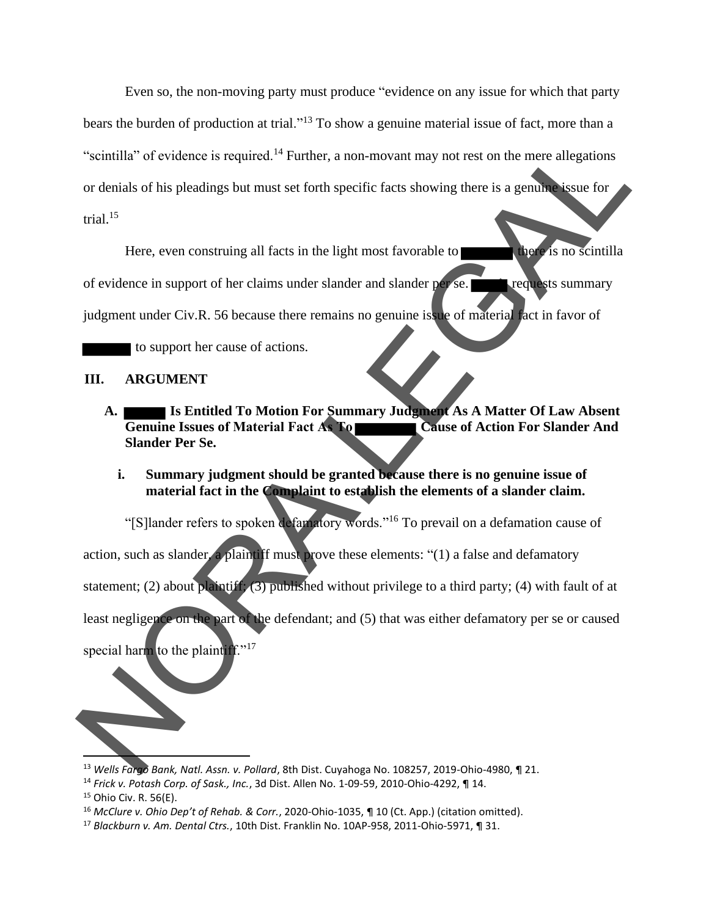Even so, the non-moving party must produce "evidence on any issue for which that party bears the burden of production at trial."<sup>13</sup> To show a genuine material issue of fact, more than a "scintilla" of evidence is required.<sup>14</sup> Further, a non-movant may not rest on the mere allegations or denials of his pleadings but must set forth specific facts showing there is a genuine issue for trial. $15$ 

Here, even construing all facts in the light most favorable to there is no scintilla of evidence in support of her claims under slander and slander per se. **The requests summary** judgment under Civ.R. 56 because there remains no genuine issue of material fact in favor of

to support her cause of actions.

#### **III. ARGUMENT**

- **A. Is Entitled To Motion For Summary Judgment As A Matter Of Law Absent Cause of Action For Slander And Slander Per Se.**
	- **i. Summary judgment should be granted because there is no genuine issue of material fact in the Complaint to establish the elements of a slander claim.**

"[S]lander refers to spoken defamatory words."<sup>16</sup> To prevail on a defamation cause of

action, such as slander, a plaintiff must prove these elements: " $(1)$  a false and defamatory statement; (2) about plaintiff; (3) published without privilege to a third party; (4) with fault of at least negligence on the part of the defendant; and (5) that was either defamatory per se or caused "Scintilla" of evidence is required.<sup>14</sup> Further, a non-movant may not rest on the mere allegations<br>or denials of his pleadings but must set forth specific facts showing there is a genuine sunce for<br>trial.<sup>15</sup><br>Here, even c

special harm to the plaintiff."<sup>17</sup>

<sup>13</sup> *Wells Fargo Bank, Natl. Assn. v. Pollard*, 8th Dist. Cuyahoga No. 108257, 2019-Ohio-4980, ¶ 21.

<sup>14</sup> *Frick v. Potash Corp. of Sask., Inc.*, 3d Dist. Allen No. 1-09-59, 2010-Ohio-4292, ¶ 14.

<sup>15</sup> Ohio Civ. R. 56(E).

<sup>16</sup> *McClure v. Ohio Dep't of Rehab. & Corr.*, 2020-Ohio-1035, ¶ 10 (Ct. App.) (citation omitted).

<sup>17</sup> *Blackburn v. Am. Dental Ctrs.*, 10th Dist. Franklin No. 10AP-958, 2011-Ohio-5971, ¶ 31.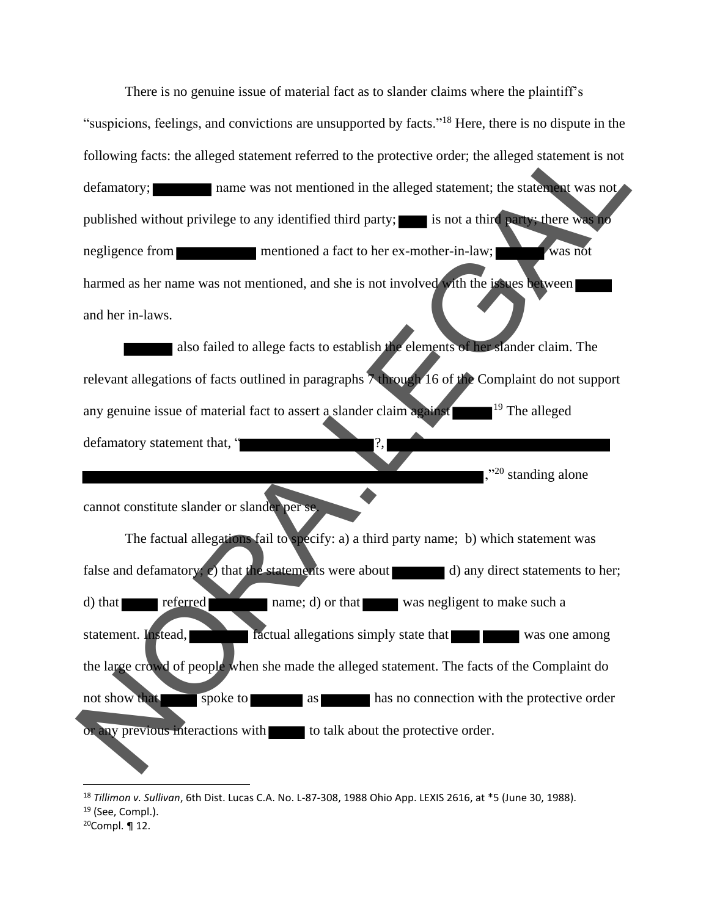There is no genuine issue of material fact as to slander claims where the plaintiff's "suspicions, feelings, and convictions are unsupported by facts."<sup>18</sup> Here, there is no dispute in the following facts: the alleged statement referred to the protective order; the alleged statement is not defamatory; name was not mentioned in the alleged statement; the statement was not published without privilege to any identified third party; is not a third party; there was no negligence from mentioned a fact to her ex-mother-in-law; was not harmed as her name was not mentioned, and she is not involved with the issues between and her in-laws.

also failed to allege facts to establish the elements of her slander claim. The relevant allegations of facts outlined in paragraphs 7 through 16 of the Complaint do not support any genuine issue of material fact to assert a slander claim against  $19$  The alleged defamatory statement that, "

,"<sup>20</sup> standing alone

cannot constitute slander or slander per se.

The factual allegations fail to specify: a) a third party name; b) which statement was false and defamatory; c) that the statements were about  $\Box$  d) any direct statements to her; d) that referred name; d) or that was negligent to make such a statement. Instead, **factual allegations simply state that was one among** the large crowd of people when she made the alleged statement. The facts of the Complaint do not show that spoke to as has no connection with the protective order or any previous interactions with to talk about the protective order. Following facts: the alleged statement referred to the protective order; the alleged statement is not<br>defininatory;<br>
name was not mentioned in the alleged statement; the shace was not<br>
published without privilege to any id

<sup>18</sup> *Tillimon v. Sullivan*, 6th Dist. Lucas C.A. No. L-87-308, 1988 Ohio App. LEXIS 2616, at \*5 (June 30, 1988).

 $19$  (See, Compl.).

 $20$ Compl. ¶ 12.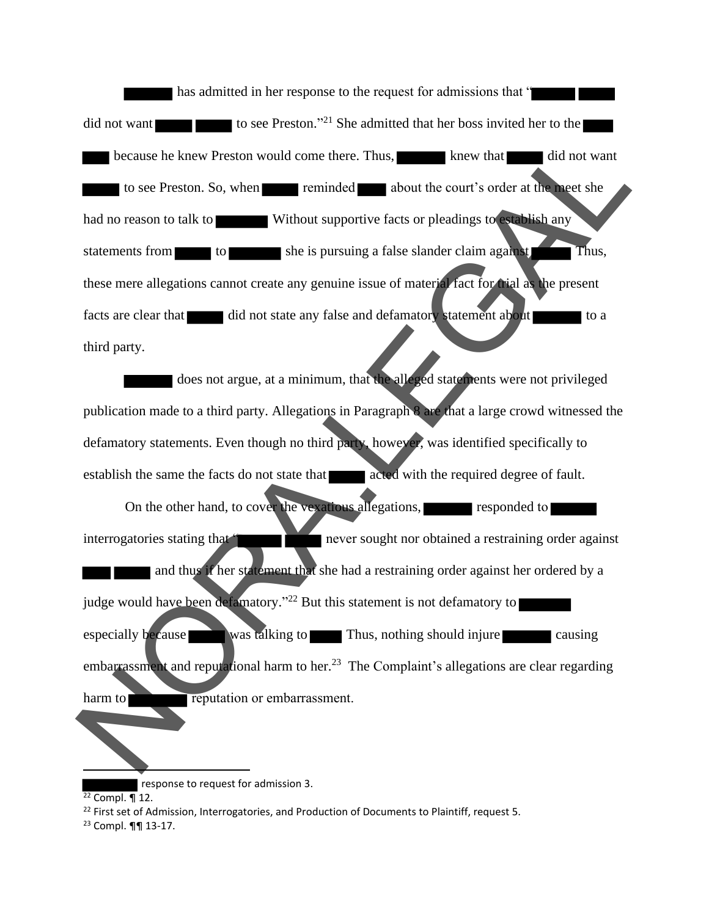has admitted in her response to the request for admissions that " did not want to see Preston."<sup>21</sup> She admitted that her boss invited her to the because he knew Preston would come there. Thus, knew that did not want to see Preston. So, when reminded about the court's order at the meet she had no reason to talk to Without supportive facts or pleadings to establish any statements from to she is pursuing a false slander claim against Thus, these mere allegations cannot create any genuine issue of material fact for trial as the present facts are clear that did not state any false and defamatory statement about third party. because he knew Preston would come there. Thus,  $\frac{1}{100}$  about the court's order at the set of the had no reason to talk to  $\frac{1}{100}$  without supportive facts or pleading to state and no reason to talk to  $\frac{1}{100}$ 

does not argue, at a minimum, that the alleged statements were not privileged publication made to a third party. Allegations in Paragraph 8 are that a large crowd witnessed the defamatory statements. Even though no third party, however, was identified specifically to establish the same the facts do not state that acted with the required degree of fault.

On the other hand, to cover the vexatious allegations, responded to interrogatories stating that " never sought nor obtained a restraining order against and thus if her statement that she had a restraining order against her ordered by a judge would have been defamatory."<sup>22</sup> But this statement is not defamatory to especially because was talking to Thus, nothing should injure causing embarrassment and reputational harm to her.<sup>23</sup> The Complaint's allegations are clear regarding harm to **reputation** or embarrassment.

 response to request for admission 3.  $22$  Compl. ¶ 12.

 $22$  First set of Admission, Interrogatories, and Production of Documents to Plaintiff, request 5.

<sup>23</sup> Compl. ¶¶ 13-17.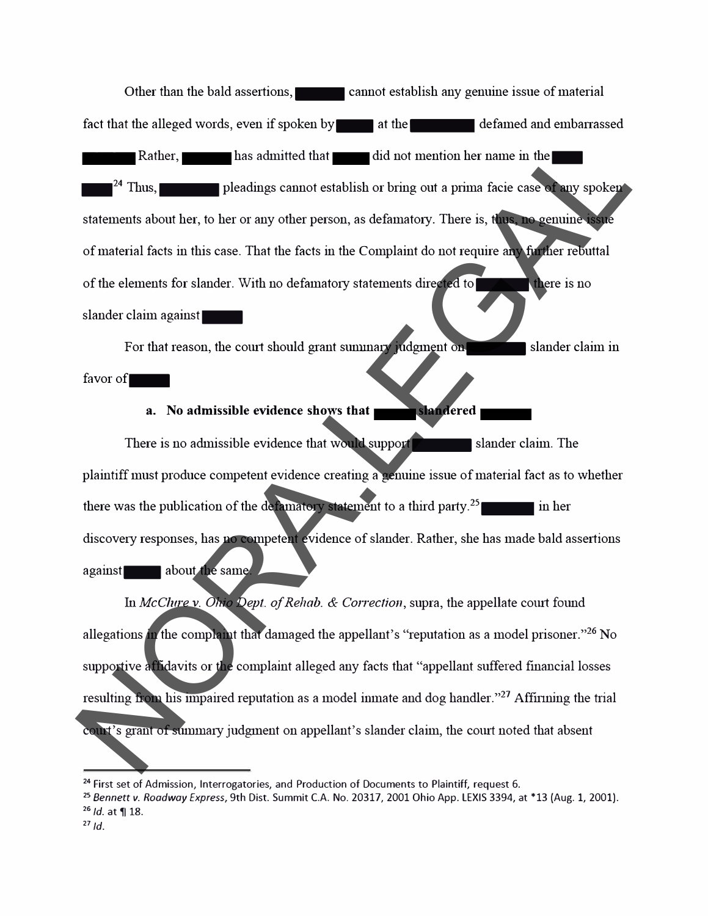Other than the bald assertions, cannot establish any genuine issue of material fact that the alleged words, even if spoken by at the defamed and embarrassed Rather, has admitted that did not mention her name in the  $\mathbf{P}^2$  Thus,  $\mathbf{P}$  pleadings cannot establish or bring out a prima facie case of any spoken statements about her, to her or any other person, as defamatory. There is, thus, no genuine issue of material facts in this case. That the facts in the Complaint do not require any further rebuttal of the elements for slander. With no defamatory statements directed to the statements of there is no slander claim against\_ Rather, last admitted that the distinction bername in the<br>
<sup>24</sup> Thus,<br>
<sup>24</sup> Thus,<br> **24** Plusation and the placing cannot establish or bring out a prima facie case. That we are<br>
contained facts in this case. That the facts

For that reason, the court should grant summary judgment on- $\sim$  slander claim in

# favor of $\blacksquare$

# **a.** No admissible evidence shows that **slandered**

There is no admissible evidence that would support slander claim. The plaintiff must produce competent evidence creating a genuine issue of material fact as to whether there was the publication of the defamatory statement to a third party.<sup>25</sup> discovery responses, has no competent evidence of slander. Rather, she has made bald assertions against about the same.

fu *McClure* v. *Ohio Dept. of Rehab. & Correction,* supra, the appellate comt found allegations in the complaint that damaged the appellant's "reputation as a model prisoner."<sup>26</sup> No supportive affidavits or the complaint alleged any facts that "appellant suffered financial losses resulting from his impaired reputation as a model inmate and dog handler."<sup>27</sup> Affirming the trial court's grant of summary judgment on appellant's slander claim, the court noted that absent

**<sup>24</sup>**First set of Admission, Interrogatories, and Production of Documents to Plaintiff, request 6.

**<sup>25</sup>***Bennett v. Roadway Express,* 9th Dist. Summit C.A. No. 20317, 2001 Ohio App. LEXIS 3394, at \*13 (Aug. 1, 2001). <sup>26</sup> *Id.* at **11** 18.

 $27/d$ .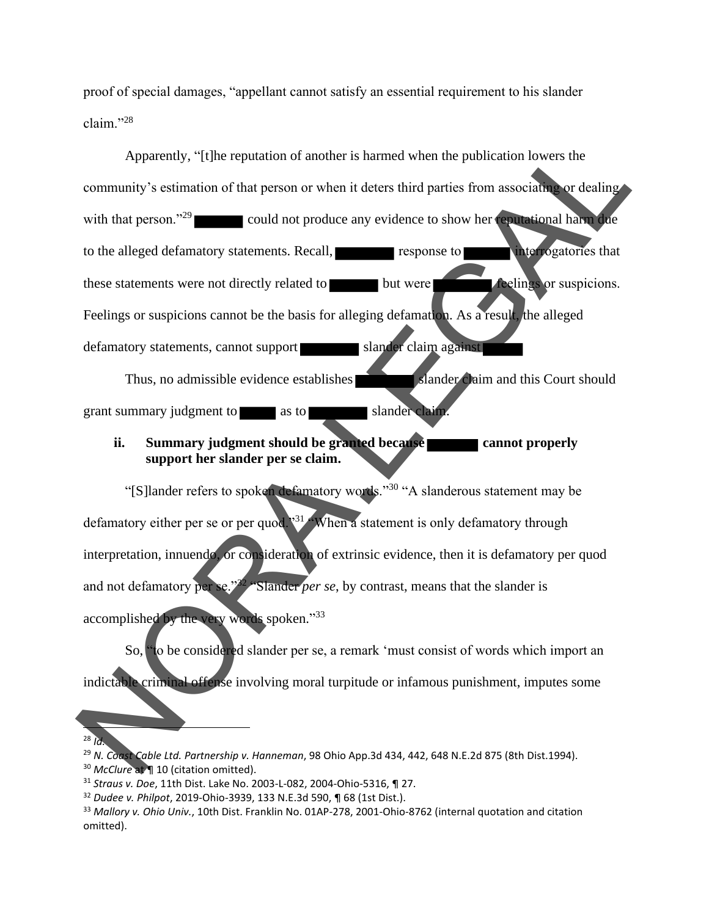proof of special damages, "appellant cannot satisfy an essential requirement to his slander claim."<sup>28</sup>

Apparently, "[t]he reputation of another is harmed when the publication lowers the community's estimation of that person or when it deters third parties from associating or dealing with that person."<sup>29</sup> could not produce any evidence to show her reputational harm due to the alleged defamatory statements. Recall, **response to large that interrogatories that** these statements were not directly related to but were **the feelings** or suspicions. Feelings or suspicions cannot be the basis for alleging defamation. As a result, the alleged defamatory statements, cannot support slander claim against Thus, no admissible evidence establishes slander claim and this Court should Apparendy, "(1) the reputation of another is harmed when the publication lowers the<br>community's estimation of that person or when it deters third parties from associative or dealing<br>with that person.<sup>199</sup><br>could not produc

grant summary judgment to as to slander claim.

### **ii. Summary judgment should be granted because cannot properly support her slander per se claim.**

"[S]lander refers to spoken defamatory words."<sup>30</sup> "A slanderous statement may be defamatory either per se or per quod.<sup>31</sup> When a statement is only defamatory through interpretation, innuendo, or consideration of extrinsic evidence, then it is defamatory per quod and not defamatory per se."<sup>32</sup> "Slander *per se*, by contrast, means that the slander is accomplished by the very words spoken."33

So, "to be considered slander per se, a remark 'must consist of words which import an indictable criminal offense involving moral turpitude or infamous punishment, imputes some

<sup>29</sup> *N. Coast Cable Ltd. Partnership v. Hanneman*, 98 Ohio App.3d 434, 442, 648 N.E.2d 875 (8th Dist.1994).

<sup>28</sup> *Id.*

<sup>&</sup>lt;sup>30</sup> *McClure* at **¶** 10 (citation omitted).

<sup>31</sup> *Straus v. Doe*, 11th Dist. Lake No. 2003-L-082, 2004-Ohio-5316, ¶ 27.

<sup>32</sup> *Dudee v. Philpot*, 2019-Ohio-3939, 133 N.E.3d 590, ¶ 68 (1st Dist.).

<sup>33</sup> *Mallory v. Ohio Univ.*, 10th Dist. Franklin No. 01AP-278, 2001-Ohio-8762 (internal quotation and citation omitted).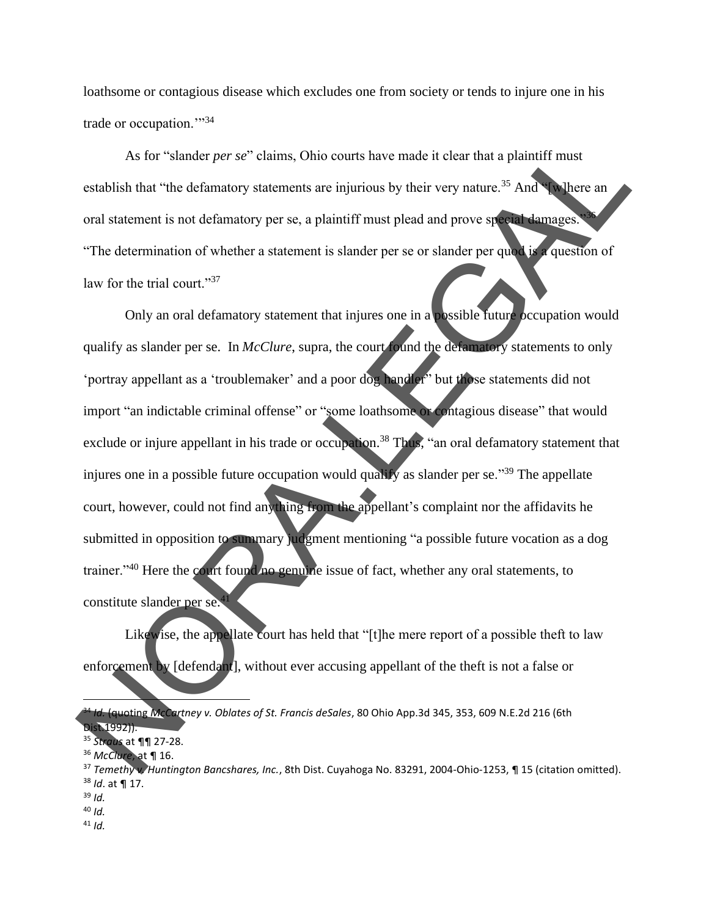loathsome or contagious disease which excludes one from society or tends to injure one in his trade or occupation."<sup>34</sup>

As for "slander *per se*" claims, Ohio courts have made it clear that a plaintiff must establish that "the defamatory statements are injurious by their very nature.<sup>35</sup> And "[w]here an oral statement is not defamatory per se, a plaintiff must plead and prove special damages. "The determination of whether a statement is slander per se or slander per quod is a question of law for the trial court."<sup>37</sup>

Only an oral defamatory statement that injures one in a possible future occupation would qualify as slander per se. In *McClure*, supra, the court found the defamatory statements to only 'portray appellant as a 'troublemaker' and a poor dog handler<sup>5</sup> but those statements did not import "an indictable criminal offense" or "some loathsome or contagious disease" that would exclude or injure appellant in his trade or occupation.<sup>38</sup> Thus, "an oral defamatory statement that injures one in a possible future occupation would qualify as slander per se."<sup>39</sup> The appellate court, however, could not find anything from the appellant's complaint nor the affidavits he submitted in opposition to summary judgment mentioning "a possible future vocation as a dog trainer."<sup>40</sup> Here the court found no genuine issue of fact, whether any oral statements, to constitute slander per se. As for "slander *per se*" claims, Ohio courts have made it clear that a plaintiff must<br>
cstablish that "the defamatory statements are injurious by their very nature.<sup>35</sup> And<br>
could statement is not defamatory per se, a pl

Likewise, the appellate court has held that "[t]he mere report of a possible theft to law enforcement by [defendant], without ever accusing appellant of the theft is not a false or

<sup>39</sup> *Id.*

<sup>41</sup> *Id.*

<sup>34</sup> *Id.* (quoting *McCartney v. Oblates of St. Francis deSales*, 80 Ohio App.3d 345, 353, 609 N.E.2d 216 (6th Dist.1992)).

<sup>35</sup> *Straus* at ¶¶ 27-28.

<sup>36</sup> *McClure*, at ¶ 16.

<sup>37</sup> *Temethy v. Huntington Bancshares, Inc.*, 8th Dist. Cuyahoga No. 83291, 2004-Ohio-1253, ¶ 15 (citation omitted). <sup>38</sup> *Id*. at ¶ 17.

<sup>40</sup> *Id.*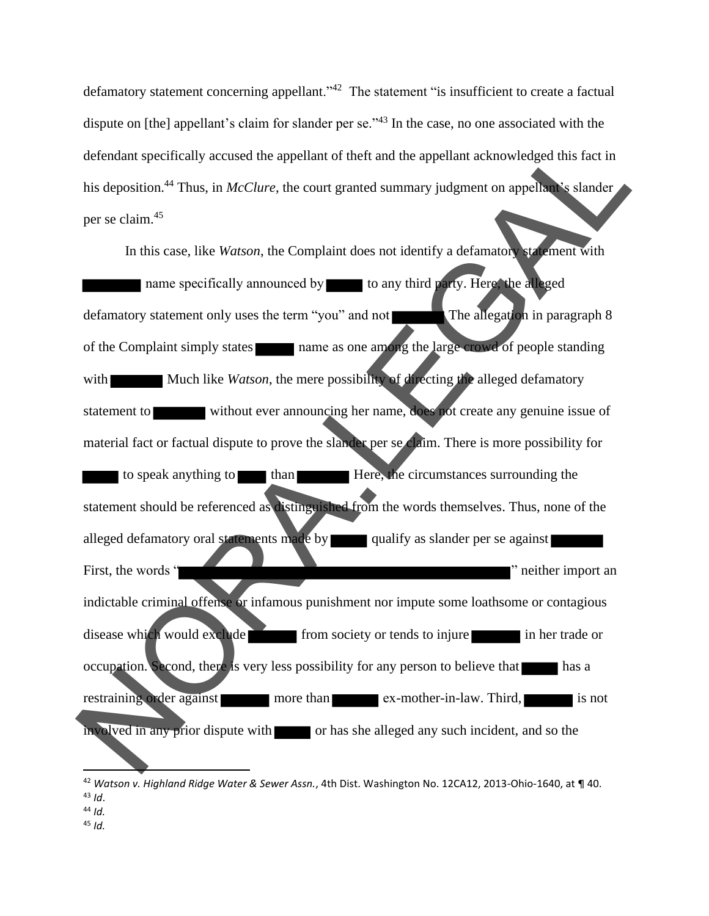defamatory statement concerning appellant."<sup>42</sup> The statement "is insufficient to create a factual dispute on [the] appellant's claim for slander per se."<sup>43</sup> In the case, no one associated with the defendant specifically accused the appellant of theft and the appellant acknowledged this fact in his deposition.<sup>44</sup> Thus, in *McClure*, the court granted summary judgment on appellant's slander per se claim.<sup>45</sup>

In this case, like *Watson*, the Complaint does not identify a defamatory statement with name specifically announced by to any third party. Here, the alleged defamatory statement only uses the term "you" and not The allegation in paragraph 8 of the Complaint simply states name as one among the large crowd of people standing with Much like *Watson*, the mere possibility of directing the alleged defamatory statement to without ever announcing her name, does not create any genuine issue of material fact or factual dispute to prove the slander per se claim. There is more possibility for to speak anything to than Here, the circumstances surrounding the statement should be referenced as distinguished from the words themselves. Thus, none of the alleged defamatory oral statements made by qualify as slander per se against First, the words " indictable criminal offense or infamous punishment nor impute some loathsome or contagious disease which would exclude from society or tends to injure in her trade or occupation. Second, there is very less possibility for any person to believe that has a restraining order against more than ex-mother-in-law. Third, is not  $involved$  in any prior dispute with  $\Box$  or has she alleged any such incident, and so the defendant specifically accused the appellant of their and the appellant acknowledged this fact in<br>
his deposition.<sup>45</sup> Tbus, in *McClure*, the court granted summary judgment on appellant shander<br>
per se claim.<sup>45</sup><br>
In thi

<sup>45</sup> *Id.*

<sup>42</sup> *Watson v. Highland Ridge Water & Sewer Assn.*, 4th Dist. Washington No. 12CA12, 2013-Ohio-1640, at ¶ 40. <sup>43</sup> *Id*.

<sup>44</sup> *Id.*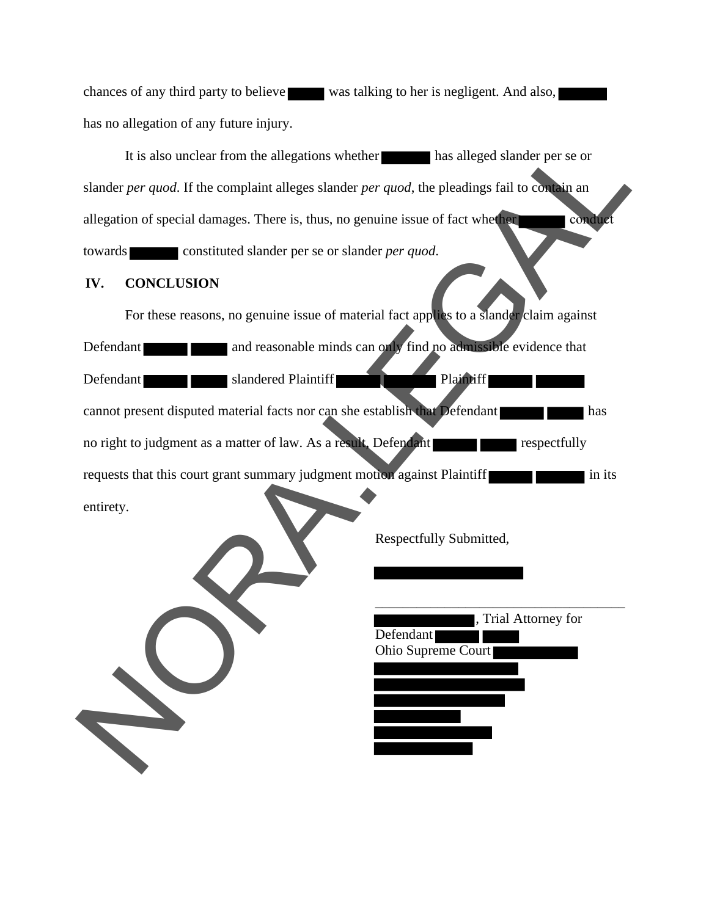chances of any third party to believe was talking to her is negligent. And also, has no allegation of any future injury.

It is also unclear from the allegations whether has alleged slander per se or slander *per quod*. If the complaint alleges slander *per quod*, the pleadings fail to contain an allegation of special damages. There is, thus, no genuine issue of fact whether conducted towards constituted slander per se or slander *per quod*.

#### **IV. CONCLUSION**

For these reasons, no genuine issue of material fact applies to a slander claim against Defendant and reasonable minds can only find no admissible evidence that Defendant slandered Plaintiff cannot present disputed material facts nor can she establish that Defendant no right to judgment as a matter of law. As a result, Defendant requests that this court grant summary judgment motion against Plaintiff entirety. It is also unclear from the allegations whether<br>
has alleged slander per grood. If the complaint alleges slander per *quod*, the pleadings fail to compare<br>
allegation of special damages. There is, thus, no genuine issue of



Respectfully Submitted,

| , Trial Attorney for |
|----------------------|
| Defendant            |
| Ohio Supreme Court   |
|                      |
|                      |
|                      |
|                      |
|                      |
|                      |